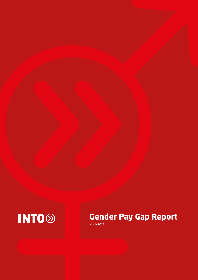

# **Gender Pay Gap Report**

March 2019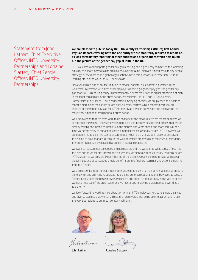Statement from John Latham, Chief Executive Officer, INTO University Partnerships and Lorraine Slattery, Chief People Officer, INTO University **Partnerships** 

We are pleased to publish today INTO University Partnerships' (INTO's) first Gender Pay Gap Report, covering both the one entity we are statutorily required to report on, as well as voluntary reporting of other entities and organisations which help round out the picture of the gender pay gap at INTO in the UK.

INTO welcomes and supports gender pay gap reporting and is genuinely committed to promoting equality of opportunity for all its employees. Diversity & Inclusion are fundamental to any people strategy, all the more so in a global organisation whose core purpose is to foster inter-cultural learning around the world, as INTO seeks to do

However, INTO is not, of course, immune to broader societal issues affecting women in the workforce. In common with most other employers reporting a gender pay gap, the gender pay gap that INTO is reporting today is predominantly a direct result of the higher proportion of men in the most senior roles in the organisation, especially in IUP2 LLP and INTO University Partnerships Ltd. (IUP Ltd.) - our headquarters employing entities. We are pleased to be able to report a more balanced picture across our University centres which impacts positively on aspects of the gender pay gap for INTO in the UK as a whole, but we are not complacent that more work is needed throughout our organisation.

We acknowledge that we have work to do on many of the measures we are reporting today. We accept that the gap will take some years to reduce significantly, despite best efforts that we are already making and intend to intensify in the months and years ahead, and that there will be a time lag before many of our actions have a material impact generally across INTO. However, we are determined to do all we can to ensure that any barriers that may be in place, or perceived to be in place now, that are getting in the way of women progressing to more senior roles (and, therefore, higher pay levels) at INTO, are minimised and eradicated

We want to reassure our colleagues and partners around the world that, while today's Report is focused on the UK for statutory reporting reasons, we plan to extend voluntary reporting across INTO as soon as we are able. Most, if not all, of the actions we are planning to take will have a global impact, so all colleagues should benefit from the findings, learnings and actions emerging from this Report.

We also recognise that there are many other aspects to diversity than gender and our strategy is generally to take an inclusive approach to building our organisational talent. However, as today's Report makes clear, our biggest diversity concern and opportunity right now is the lack of senior women at the top of the organisation, so we must make improving that landscape over time a top priority.

We look forward to working in collaboration with all INTO employees to create a more balanced and diverse team so that we can all reap the rich rewards that being able to attract and retain the very best talent to our great company will bring.





remelhan

John Latham Lorraine Slattery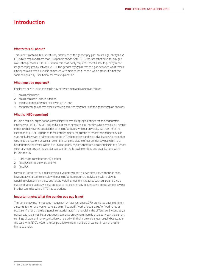# Introduction

#### What's this all about?

This Report contains INTO's statutory disclosure of the gender pay gap\* for its legal entity IUP2 LLP, which employed more than 250 people on 5th April 2018, the 'snapshot date' for pay gap calculation purposes. IUP2 LLP is therefore statutorily required under UK law to publicly report its gender pay gap by 4th April 2019. The gender pay gap refers to a gap between what female employees as a whole are paid compared with male colleagues as a whole group. It is not the same as equal pay – see below for more explanation.

#### What must be reported?

Employers must publish the gap in pay between men and women as follows:

- 1. on a median basis\* ;<br>;
- 2. on a mean basis\* ; and, in addition,
- 3. the distribution of gender by pay quartile\* ; and
- 4. the percentages of employees receiving bonuses by gender and the gender gap on bonuses.

#### What is INTO reporting?

INTO is a complex organisation, comprising two employing legal entities for its headquarters employees (IUP2 LLP & IUP Ltd.) and a number of separate legal entities which employ our people either in wholly owned subsidiaries or in Joint Ventures with our university partners. With the exception of IUP2 LLP, none of these entities meets the criteria to report their gender pay gap statutorily. However, it is important to the INTO shareholders and executive leadership team that we are as transparent as we can be on the complete picture of our gender pay gap within our headquarters and overall within our UK operations. We are, therefore, also including in this Report voluntary reporting on the gender pay gap for the following entities and organisations within INTO in the UK:

- 1. IUP Ltd. (to complete the HQ picture)
- 2. Total UK centres (owned and IV)
- 3. Total UK

We would like to continue to increase our voluntary reporting over time and, with this in mind, have already started to consult with our Joint Venture partners individually with a view to reporting voluntarily on these entities as well, if agreement is reached with our partners. As a matter of good practice, we also propose to report internally in due course on the gender pay gap in other countries where INTO has operations.

#### Important note: What the gender pay gap is not

The 'gender pay gap' is not about 'equal pay'. UK law has, since 1970, prohibited paying different amounts to men and women who are doing 'like work', 'work of equal value' or 'work rated as equivalent' unless there is a 'genuine material factor' that explains the difference. By contrast, a gender pay gap is not illegal but clearly demonstrates where there is a gap between the current earnings of women in an organisation compared with their male colleagues, usually based, as is the case with INTO's HQ, on the comparatively smaller numbers of women in senior or other highly paid roles.

See Glossary for definitions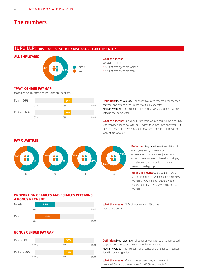# The numbers

### IUP2 LLP: THIS IS OUR STATUTORY DISCLOSURE FOR THIS ENTITY



#### What this means

Within IUP2 LLP:

• 53% of employees are women

35%

• 47% of employees are men

#### **"PAY" GENDER PAY GAP**

(based on hourly rates and including any bonuses)



**Definition: Mean Average** – all hourly pay rates for each gender added together and divided by the number of hourly pay rates Median Average - the mid-point of all hourly pay rates for each gender listed in ascending order

What this means: On an hourly rate basis, women earn on average 26% less than men (mean average) or 24% less than men (median average). It does not mean that a woman is paid less than a man for similar work or work of similar value

#### **PAY QUARTILES**



**Definition: Pay quartiles - the splitting of** employees in any given entity or organisation into four equal (or as close to equal as possible) groups based on their pay and showing the proportion of men and women in each group

What this means: Quartiles 1-3 show a stable proportion of women and men (c.60% women/c. 40% men) but Quartile 4 (the highest paid quartile) is 65% men and 35% women

# **PROPORTION OF MALES AND FEMALES RECEIVING A BONUS PAYMENT**



What this means: 35% of women and 43% of men were paid a bonus

### **BONUS GENDER PAY GAP**



**Definition: Mean Average** - all bonus amounts for each gender added together and divided by the number of bonus amounts Median Average – the mid-point of all bonus amounts for each gender listed in ascending order

What this means: Where bonuses were paid, women earnt on average 30% less than men (mean) and 29% less (median)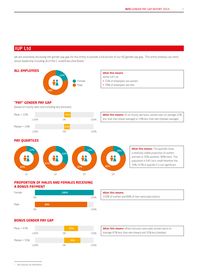# IUP Ltd

We are voluntarily disclosing the gender pay gap for this entity to provide a full picture of our HQ gender pay gap. This entity employs our most senior leadership including all of the C-suite/Executive Board.

#### **ALL EMPLOYEES**



|  |  |  |   |  | What this means |  |
|--|--|--|---|--|-----------------|--|
|  |  |  | . |  |                 |  |

Within IUP Ltd:

- 22% of employees are women
- 78% of employees are men

#### **"PAY" GENDER PAY GAP**

(based on hourly rates and including any bonuses)

| Mean = $22%$   |          | 22% |      |
|----------------|----------|-----|------|
|                | $-100\%$ | 0%  | 100% |
| Median = $19%$ |          | 19% |      |
|                | $-100\%$ | 0%  | 100% |

What this means: On an hourly rate basis, women earn on average 22% less than men (mean average) or 19% less than men (median average)

### **PAY QUARTILES**



What this means: The quartiles show a relatively stable proportion of women and men (c.20% women/c. 80% men). The population in IUP Ltd is small therefore the 33% / 67% in quartile 2 is not significant.

#### **PROPORTION OF MALES AND FEMALES RECEIVING A BONUS PAYMENT**



#### What this means:

Q4

20%

100% of women and 89% of men were paid a bonus

#### **BONUS GENDER PAY GAP**



What this means: Where bonuses were paid, women earnt on average 47% less than men (mean) and 55% less (median)

\* See Glossary for definitions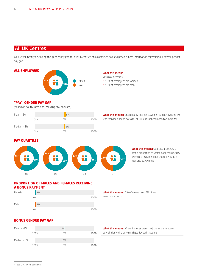# All UK Centres

We are voluntarily disclosing the gender pay gap for our UK centres on a combined basis to provide more information regarding our overall gender pay gap.





|  | What this means |  |
|--|-----------------|--|
|  |                 |  |

Within our centres:

- 58% of employees are women
- 42% of employees are men

#### **"PAY" GENDER PAY GAP**

(based on hourly rates and including any bonuses)

| Mean = $5\%$   |         | 5% |      |
|----------------|---------|----|------|
|                | $-100%$ | 0% | 100% |
| Median = $3\%$ |         | 3% |      |
|                | $-100%$ | 0% | 100% |

What this means: On an hourly rate basis, women earn on average 5% less than men (mean average) or 3% less than men (median average)

#### **PAY QUARTILES**



49% 7 51%

 $Q<sub>0</sub>$ 

What this means: Quartiles 1-3 show a stable proportion of women and men (c.60% women/c. 40% men) but Quartile 4 is 49% men and 51% women

### **PROPORTION OF MALES AND FEMALES RECEIVING A BONUS PAYMENT**



What this means: 2% of women and 2% of men were paid a bonus

### **BONUS GENDER PAY GAP**

| Mean = $-1\%$  |         | $-1%$ |      |
|----------------|---------|-------|------|
|                | $-100%$ | 0%    | 100% |
| Median = $0\%$ |         | 0%    |      |
|                | $-100%$ | 0%    | 100% |

What this means: Where bonuses were paid, the amounts were very similar with a very small gap favouring women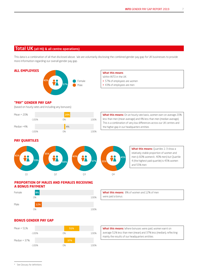# Total UK (all HQ & all centre operations)

This data is a combination of all that disclosed above. We are voluntarily disclosing the combined gender pay gap for UK businesses to provide more information regarding our overall gender pay gap.

#### **ALL EMPLOYEES**



#### What this means

 $\Omega$ 

45%

Within INTO in the UK:

- 57% of employees are women
- 43% of employees are men

#### **"PAY" GENDER PAY GAP**

(based on hourly rates and including any bonuses)

| Mean = $20\%$ |         | 20% |      |
|---------------|---------|-----|------|
|               | $-100%$ | 0%  | 100% |
| Median =4%    |         | 4%  |      |
|               | $-100%$ | Ω%  | 100% |

What this means: On an hourly rate basis, women earn on average 20% less than men (mean average) and 4% less than men (median average). This is a combination of very low differences across our UK centres and the higher gap in our headquarters entities

#### **PAY QUARTILES**



What this means: Quartiles 1-3 show a relatively stable proportion of women and men (c.60% women/c. 40% men) but Quartile 4 (the highest paid quartile) is 45% women and 55% men

#### **PROPORTION OF MALES AND FEMALES RECEIVING A BONUS PAYMENT**



What this means: 8% of women and 12% of men were paid a bonus

#### **BONUS GENDER PAY GAP**



What this means: Where bonuses were paid, women earnt on average 51% less than men (mean) and 37% less (median), reflecting mainly the results of our headquarters entities

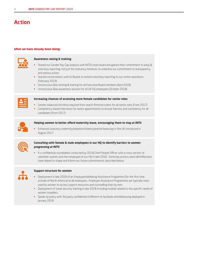# Action

#### **What we have already been doing:**



#### Awareness raising & training

- Shared our Gender Pay Gap analysis with INTO's main board and gained their commitment to early & voluntary reporting, not just the statutory minimum, to underline our commitment to transparency and serious action
- Started conversations with JV Boards to extend voluntary reporting to our centre operations (February 2019)
- Unconscious Bias testing & training for all Executive Board members (April 2018)
- Unconscious Bias awareness session for all UK HQ employees (October 2018)



#### Increasing chances of accessing more female candidates for senior roles

- Gender-balanced shortlists required from search firms/recruiters for all senior roles (From 2017)
- Competency based interviews for senior appointments to ensure fairness and consistency for all candidates (From 2017)



#### Helping women to better afford maternity leave, encouraging them to stay at INTO

• Enhanced statutory maternity/adoption/shared parental leave pay in the UK introduced in August 2017



#### Consulting with female & male employees in our HQ to identify barriers to women progressing at INTO

• 4 x confidential roundtables conducted by CEO & Chief People Officer with a cross-section of volunteer women and men employed at our HQ in late 2018. Some key actions were identified and have helped to shape and inform our future commitments, described below.



#### Support structure for women

- Deployment in late 2018 of an Employee/Wellbeing Assistance Programme (for the first time outside of North America) to all employees. Employee Assistance Programmes are typically more used by women to access support resources and counselling than by men
- Deployment of travel security training in late 2018 including module related to the specific needs of women travellers
- Speak Up policy with 3rd party confidential fulfilment to facilitate whistleblowing deployed in January 2018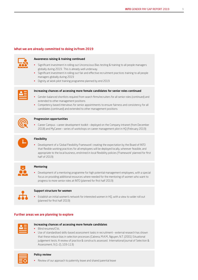#### What we are already committed to doing in/from 2019



#### Awareness raising & training continued

- Significant investment in rolling out Unconscious Bias testing & training to all people managers globally during 2019. This is already well underway.
- Significant investment in rolling out fair and effective recruitment practices training to all people managers globally during 2019
- Dignity at Work pilot training programme planned by end 2019

#### Increasing chances of accessing more female candidates for senior roles continued

- - Gender-balanced shortlists required from search firms/recruiters for all senior roles (continued) and extended to other management positions
	- Competency based interviews for senior appointments to ensure fairness and consistency for all candidates (continued) and extended to other management positions



#### Progression opportunities

• Career Campus – career development toolkit – deployed on the Company intranet (from December 2018) and MyCareer – series of workshops on career management pilot in HQ (February 2019)



#### **Flexibility**

• Development of a 'Global Flexibility Framework' creating the expectation by the Board of INTO that flexible working practices for all employees will be deployed locally, wherever feasible, and appropriate to the local business, enshrined in local flexibility policies ('Framework' planned for first half of 2019)



#### Mentoring

• Development of a mentoring programme for high potential management employees, with a special focus on providing additional resources where needed for the mentoring of women who want to progress to more senior roles at INTO (planned for first half 2019)



#### Support structure for women

• Establish an initial women's network for interested women in HQ, with a view to wider roll out (planned for first half 2019)

#### Further areas we are planning to explore



#### Increasing chances of accessing more female candidates

- Blind resumes/CVs
- Use of standardised skills-based assessment tasks in recruitment external research has shown that these reduce bias in selection processes (Cabrera, M.A.M., Nguyen, N.T. (2001) Situational judgement tests: A review of practice & constructs assessed. International Journal of Selection & Assessment, 9 (1-2), 103-113)



#### Policy review

• Review of our approach to paternity leave and shared parental leave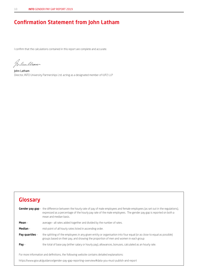# Confirmation Statement from John Latham

I confirm that the calculations contained in this report are complete and accurate.

Inlinecian

John Latham Director, INTO University Partnerships Ltd. acting as a designated member of IUP2 LLP

# **Glossary**

|                                                                                                | Gender pay gap - the difference between the hourly rate of pay of male employees and female employees (as set out in the regulations),<br>expressed as a percentage of the hourly pay rate of the male employees. The gender pay gap is reported on both a<br>mean and median basis. |  |  |
|------------------------------------------------------------------------------------------------|--------------------------------------------------------------------------------------------------------------------------------------------------------------------------------------------------------------------------------------------------------------------------------------|--|--|
| Mean-                                                                                          | average - all rates added together and divided by the number of rates.                                                                                                                                                                                                               |  |  |
| Median -                                                                                       | mid-point of all hourly rates listed in ascending order.                                                                                                                                                                                                                             |  |  |
| Pay quartiles -                                                                                | the splitting of the employees in any given entity or organisation into four equal (or as close to equal as possible)<br>groups based on their pay, and showing the proportion of men and women in each group                                                                        |  |  |
| $Pay-$                                                                                         | the total of base pay (either salary or hourly pay), allowances, bonuses, calculated as an hourly rate.                                                                                                                                                                              |  |  |
|                                                                                                | For more information and definitions, the following website contains detailed explanations:                                                                                                                                                                                          |  |  |
| https://www.gov.uk/guidance/gender-pay-gap-reporting-overview#data-you-must-publish-and-report |                                                                                                                                                                                                                                                                                      |  |  |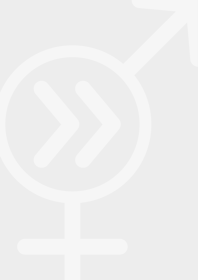